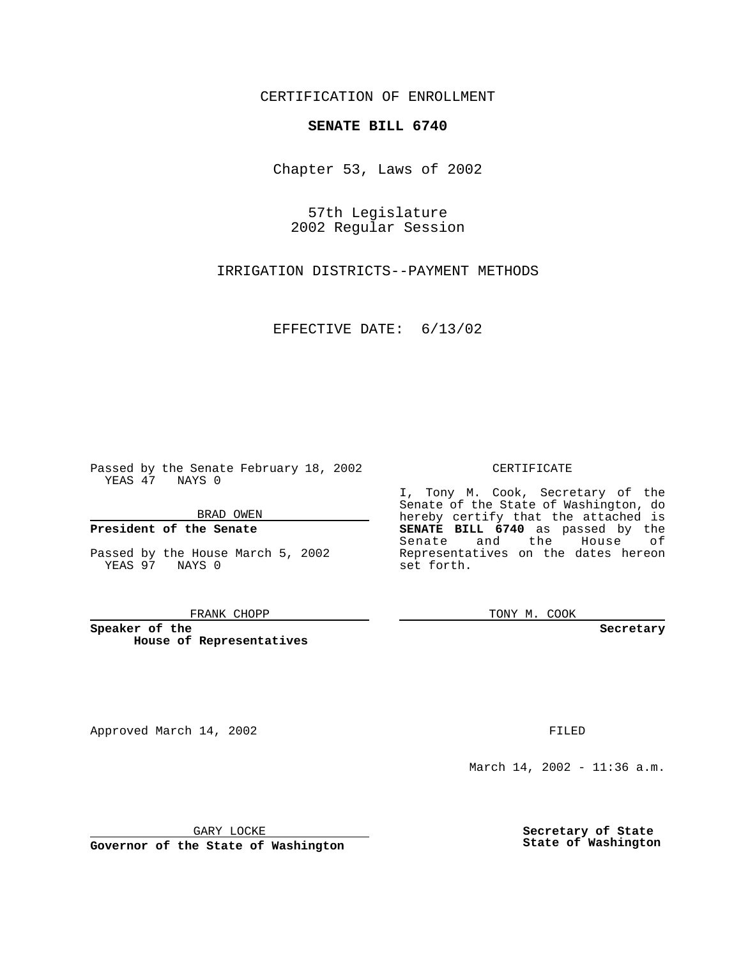CERTIFICATION OF ENROLLMENT

# **SENATE BILL 6740**

Chapter 53, Laws of 2002

57th Legislature 2002 Regular Session

IRRIGATION DISTRICTS--PAYMENT METHODS

EFFECTIVE DATE: 6/13/02

Passed by the Senate February 18, 2002 YEAS 47 NAYS 0

BRAD OWEN

### **President of the Senate**

Passed by the House March 5, 2002 YEAS 97 NAYS 0

#### FRANK CHOPP

**Speaker of the House of Representatives**

Approved March 14, 2002 **FILED** 

### CERTIFICATE

I, Tony M. Cook, Secretary of the Senate of the State of Washington, do hereby certify that the attached is **SENATE BILL 6740** as passed by the Senate and the House of Representatives on the dates hereon set forth.

TONY M. COOK

**Secretary**

March 14, 2002 - 11:36 a.m.

GARY LOCKE

**Governor of the State of Washington**

**Secretary of State State of Washington**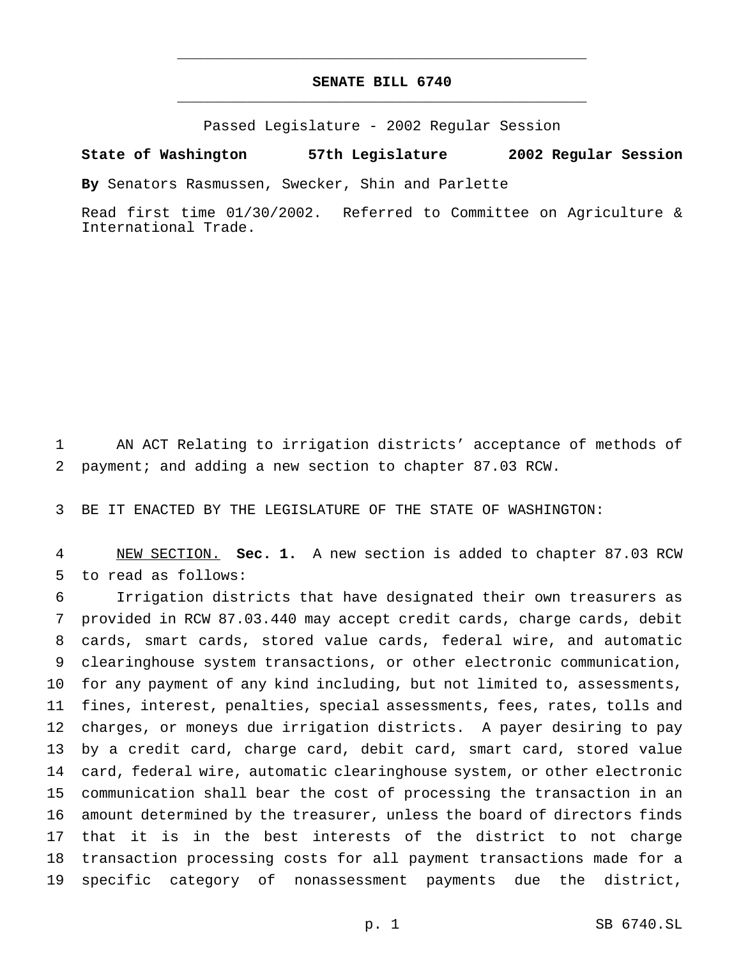## **SENATE BILL 6740** \_\_\_\_\_\_\_\_\_\_\_\_\_\_\_\_\_\_\_\_\_\_\_\_\_\_\_\_\_\_\_\_\_\_\_\_\_\_\_\_\_\_\_\_\_\_\_

\_\_\_\_\_\_\_\_\_\_\_\_\_\_\_\_\_\_\_\_\_\_\_\_\_\_\_\_\_\_\_\_\_\_\_\_\_\_\_\_\_\_\_\_\_\_\_

Passed Legislature - 2002 Regular Session

### **State of Washington 57th Legislature 2002 Regular Session**

**By** Senators Rasmussen, Swecker, Shin and Parlette

Read first time 01/30/2002. Referred to Committee on Agriculture & International Trade.

 AN ACT Relating to irrigation districts' acceptance of methods of payment; and adding a new section to chapter 87.03 RCW.

BE IT ENACTED BY THE LEGISLATURE OF THE STATE OF WASHINGTON:

 NEW SECTION. **Sec. 1.** A new section is added to chapter 87.03 RCW to read as follows:

 Irrigation districts that have designated their own treasurers as provided in RCW 87.03.440 may accept credit cards, charge cards, debit cards, smart cards, stored value cards, federal wire, and automatic clearinghouse system transactions, or other electronic communication, for any payment of any kind including, but not limited to, assessments, fines, interest, penalties, special assessments, fees, rates, tolls and charges, or moneys due irrigation districts. A payer desiring to pay by a credit card, charge card, debit card, smart card, stored value card, federal wire, automatic clearinghouse system, or other electronic communication shall bear the cost of processing the transaction in an amount determined by the treasurer, unless the board of directors finds that it is in the best interests of the district to not charge transaction processing costs for all payment transactions made for a specific category of nonassessment payments due the district,